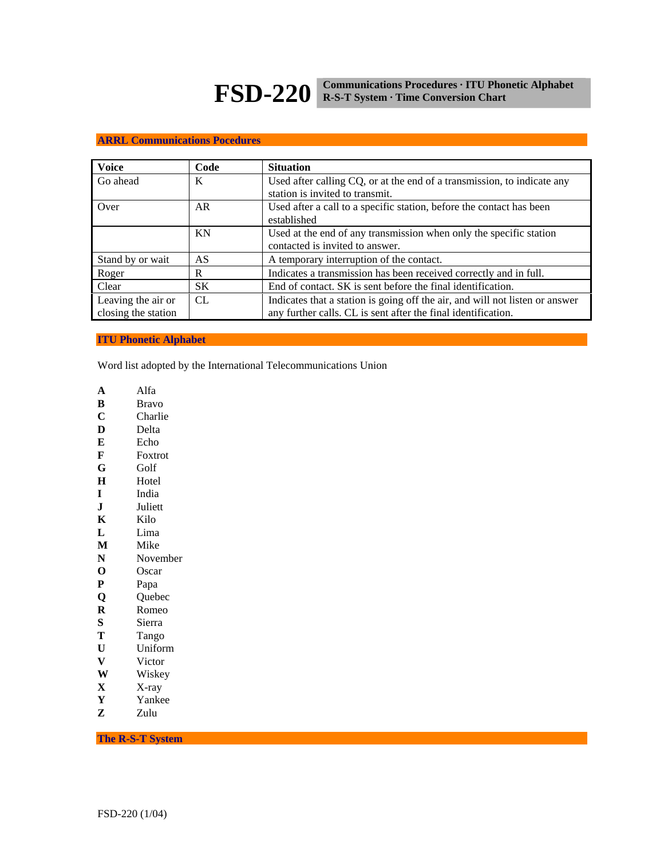# **FSD-220 Communications Procedures · ITU Phonetic Alphabet R-S-T System · Time Conversion Chart**

## **ARRL Communications Pocedures**

| <b>Voice</b>        | Code | <b>Situation</b>                                                                                           |  |  |
|---------------------|------|------------------------------------------------------------------------------------------------------------|--|--|
| Go ahead            | K    | Used after calling CQ, or at the end of a transmission, to indicate any<br>station is invited to transmit. |  |  |
| Over                | AR.  | Used after a call to a specific station, before the contact has been<br>established                        |  |  |
|                     | KN   | Used at the end of any transmission when only the specific station                                         |  |  |
|                     |      | contacted is invited to answer.                                                                            |  |  |
| Stand by or wait    | AS   | A temporary interruption of the contact.                                                                   |  |  |
| Roger               | R    | Indicates a transmission has been received correctly and in full.                                          |  |  |
| Clear               | SK.  | End of contact. SK is sent before the final identification.                                                |  |  |
| Leaving the air or  | CL.  | Indicates that a station is going off the air, and will not listen or answer                               |  |  |
| closing the station |      | any further calls. CL is sent after the final identification.                                              |  |  |

**ITU Phonetic Alphabet** 

Word list adopted by the International Telecommunications Union

- **A** Alfa
- **B** Bravo
- **C** Charlie<br>**D** Delta
- **D** Delta
- **E** Echo
- **F** Foxtrot
- **G** Golf
- **H** Hotel
- **I** India
- **J** Juliett
- **K** Kilo
- **L** Lima
- **M** Mike
- **N** November
- **O** Oscar
- **P** Papa
- **Q** Quebec
- **R** Romeo
- **S** Sierra
- **T** Tango
- **U** Uniform
- **V** Victor<br>**W** Wiskey
- **W** Wiskey
- **X** X-ray
- **Y** Yankee
- **Z** Zulu

**The R-S-T System**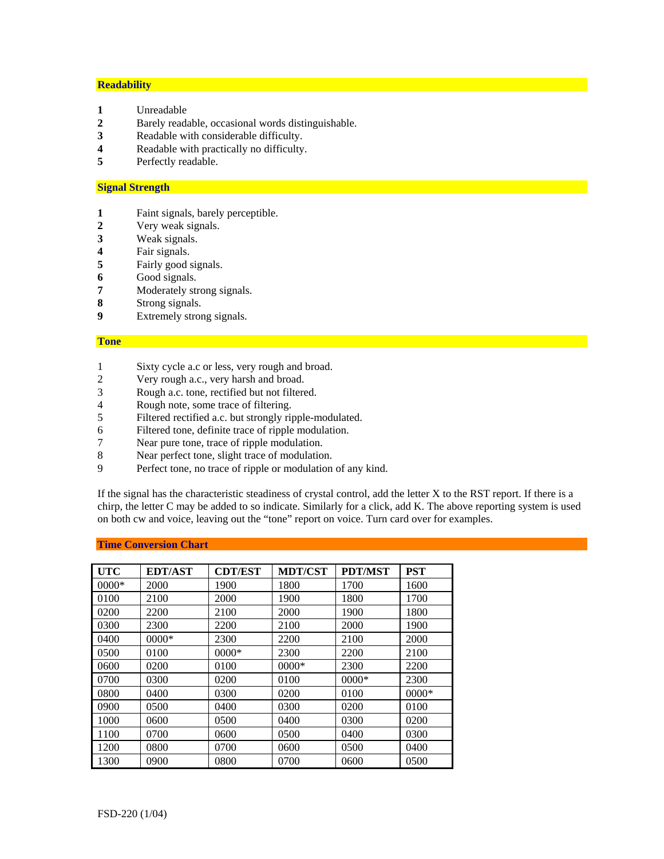## **Readability**

- **1** Unreadable
- **2** Barely readable, occasional words distinguishable.
- **3** Readable with considerable difficulty.
- **4** Readable with practically no difficulty.<br>**5** Perfectly readable
- Perfectly readable.

#### **Signal Strength**

- **1** Faint signals, barely perceptible.
- **2** Very weak signals.
- **3** Weak signals.
- **4** Fair signals.
- **5** Fairly good signals.
- **6** Good signals.
- **7** Moderately strong signals.
- **8** Strong signals.
- **9** Extremely strong signals.

#### **Tone**

- 1 Sixty cycle a.c or less, very rough and broad.
- 2 Very rough a.c., very harsh and broad.
- 3 Rough a.c. tone, rectified but not filtered.
- 4 Rough note, some trace of filtering.
- 5 Filtered rectified a.c. but strongly ripple-modulated.
- 6 Filtered tone, definite trace of ripple modulation.
- 7 Near pure tone, trace of ripple modulation.
- 8 Near perfect tone, slight trace of modulation.
- 9 Perfect tone, no trace of ripple or modulation of any kind.

If the signal has the characteristic steadiness of crystal control, add the letter X to the RST report. If there is a chirp, the letter C may be added to so indicate. Similarly for a click, add K. The above reporting system is used on both cw and voice, leaving out the "tone" report on voice. Turn card over for examples.

## **Time Conversion Chart**

| <b>UTC</b> | <b>EDT/AST</b> | <b>CDT/EST</b> | <b>MDT/CST</b> | <b>PDT/MST</b> | <b>PST</b> |
|------------|----------------|----------------|----------------|----------------|------------|
| $0000*$    | 2000           | 1900           | 1800           | 1700           | 1600       |
| 0100       | 2100           | 2000           | 1900           | 1800           | 1700       |
| 0200       | 2200           | 2100           | 2000           | 1900           | 1800       |
| 0300       | 2300           | 2200           | 2100           | 2000           | 1900       |
| 0400       | $0000*$        | 2300           | 2200           | 2100           | 2000       |
| 0500       | 0100           | $0000*$        | 2300           | 2200           | 2100       |
| 0600       | 0200           | 0100           | $0000*$        | 2300           | 2200       |
| 0700       | 0300           | 0200           | 0100           | $0000*$        | 2300       |
| 0800       | 0400           | 0300           | 0200           | 0100           | $0000*$    |
| 0900       | 0500           | 0400           | 0300           | 0200           | 0100       |
| 1000       | 0600           | 0500           | 0400           | 0300           | 0200       |
| 1100       | 0700           | 0600           | 0500           | 0400           | 0300       |
| 1200       | 0800           | 0700           | 0600           | 0500           | 0400       |
| 1300       | 0900           | 0800           | 0700           | 0600           | 0500       |